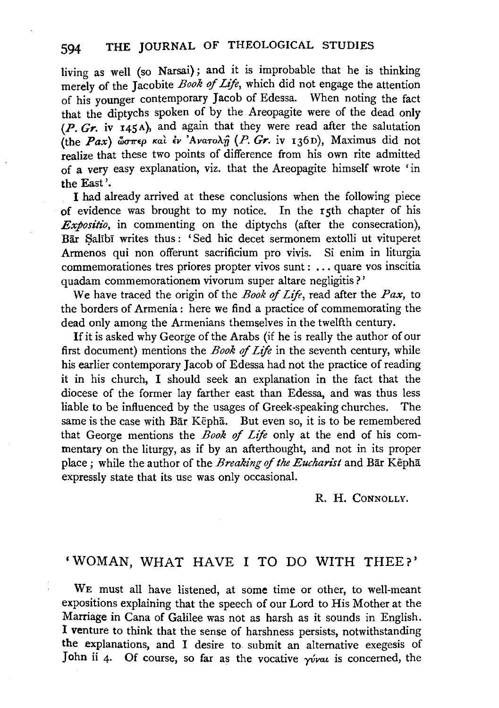living as well (so Narsai); and it is improbable that he is thinking merely of the Jacobite *Book of Life*, which did not engage the attention of his younger contemporary Jacob of Edessa. When noting the fact that the diptychs spoken of by the Areopagite were of the dead only (P. *Gr.* iv I45A), and again that they were read after the salutation (the *Pax*)  $\omega \pi \epsilon \rho$  kat  $\epsilon \nu$  'Avaro $\lambda \hat{\eta}$  (*P. Gr.* iv 136D), Maximus did not realize that these two points of difference from his own rite admitted of a very easy explanation, viz. that the Areopagite himself wrote 'in the East'.

I had already arrived at these conclusions when the following piece of evidence was brought to my notice. In the rsth chapter of his *Expositio,* in commenting on the diptychs (after the consecration), Bar Salibi writes thus: 'Sed hic decet sermonem extolli ut vituperet Armenos qui non offerunt sacrificium pro vivis. Si enim in liturgia commemorationes tres priores propter vivos sunt : ... quare vos inscitia quadam commemorationem vivorum super altare negligitis?'

We have traced the origin of the *Book* of *Life,* read after the *Pax,* to the borders of Armenia : here we find a practice of commemorating the dead only among the Armenians themselves in the twelfth century.

If it is asked why George of the Arabs (if he is really the author of our first document) mentions the *Book* of *Life* in the seventh century, while his earlier contemporary Jacob of Edessa had not the practice of reading it in his church, I should seek an explanation in the fact that the diocese of the former lay farther east than Edessa, and was thus less liable to be influenced by the usages of Greek-speaking churches. The same is the case with Bar Kepha. But even so, it is to be remembered that George mentions the *Book* of *Lift* only at the end of his commentary on the liturgy, as if by an afterthought, and not in its proper place; while the author of the *Breaking* of *the Eucharist* and Bar Kephli expressly state that its use was only occasional.

R. H. CONNOLLY.

## 'WOMAN, WHAT HAVE I TO DO WITH THEE?'

WE must all have listened, at some time or other, to well-meant expositions explaining that the speech of our Lord to His Mother at the Marriage in Cana of Galilee was not as harsh as it sounds in English. I venture to think that the sense of harshness persists, notwithstanding the explanations, and I desire to submit an alternative exegesis of John ii 4. Of course, so far as the vocative  $\gamma \dot{\gamma}$  is concerned, the